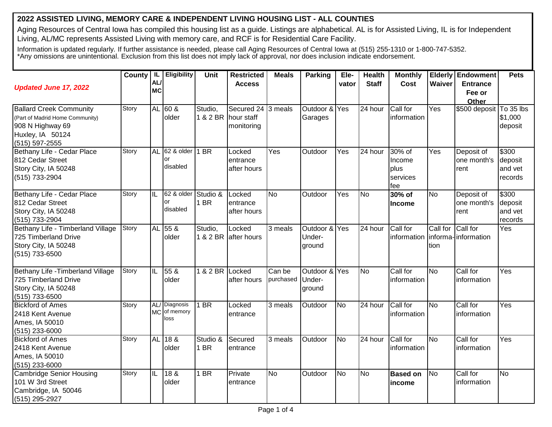## **2022 ASSISTED LIVING, MEMORY CARE & INDEPENDENT LIVING HOUSING LIST - ALL COUNTIES**

Aging Resources of Central Iowa has compiled this housing list as a guide. Listings are alphabetical. AL is for Assisted Living, IL is for Independent Living, AL/MC represents Assisted Living with memory care, and RCF is for Residential Care Facility.

Information is updated regularly. If further assistance is needed, please call Aging Resources of Central Iowa at (515) 255-1310 or 1-800-747-5352. \*Any omissions are unintentional. Exclusion from this list does not imply lack of approval, nor does inclusion indicate endorsement.

| <b>Updated June 17, 2022</b>                                                                                                | <b>County</b> | IL<br>AL/                | Eligibility                           | <b>Unit</b>      | <b>Restricted</b><br><b>Access</b>                      | <b>Meals</b>         | <b>Parking</b>                    | Ele-<br>vator | <b>Health</b><br><b>Staff</b> | <b>Monthly</b><br>Cost                      | <b>Waiver</b>             | <b>Elderly Endowment</b><br><b>Entrance</b> | <b>Pets</b>                            |
|-----------------------------------------------------------------------------------------------------------------------------|---------------|--------------------------|---------------------------------------|------------------|---------------------------------------------------------|----------------------|-----------------------------------|---------------|-------------------------------|---------------------------------------------|---------------------------|---------------------------------------------|----------------------------------------|
|                                                                                                                             |               | <b>MC</b>                |                                       |                  |                                                         |                      |                                   |               |                               |                                             |                           | Fee or<br>Other                             |                                        |
| <b>Ballard Creek Community</b><br>(Part of Madrid Home Community)<br>908 N Highway 69<br>Huxley, IA 50124<br>(515) 597-2555 | Story         | <b>AL</b>                | 60 &<br>older                         | Studio,          | Secured 24 3 meals<br>1 & 2 BR hour staff<br>monitoring |                      | Outdoor &<br>Garages              | Yes           | $\overline{24}$ hour          | Call for<br>information                     | Yes                       | \$500 deposit To 35 lbs                     | \$1,000<br>deposit                     |
| Bethany Life - Cedar Place<br>812 Cedar Street<br>Story City, IA 50248<br>(515) 733-2904                                    | Story         | <b>AL</b>                | 62 & older   1 BR<br>or<br>disabled   |                  | Locked<br>entrance<br>after hours                       | Yes                  | Outdoor                           | Yes           | 24 hour                       | 30% of<br>Income<br>plus<br>services<br>fee | Yes                       | Deposit of<br>one month's<br>rent           | \$300<br>deposit<br>and vet<br>records |
| Bethany Life - Cedar Place<br>812 Cedar Street<br>Story City, IA 50248<br>(515) 733-2904                                    | Story         | $\overline{\mathsf{IL}}$ | 62 & older Studio &<br>or<br>disabled | 1 BR             | Locked<br>entrance<br>after hours                       | N <sub>o</sub>       | Outdoor                           | Yes           | <b>No</b>                     | 30% of<br><b>Income</b>                     | <b>No</b>                 | Deposit of<br>one month's<br>rent           | \$300<br>deposit<br>and vet<br>records |
| Bethany Life - Timberland Village<br>725 Timberland Drive<br>Story City, IA 50248<br>(515) 733-6500                         | Story         |                          | AL 55 &<br>older                      | Studio,          | Locked<br>1 & 2 BR after hours                          | $\overline{3}$ meals | Outdoor & Yes<br>Under-<br>ground |               | 24 hour                       | Call for<br>information                     | Call for Call for<br>tion | informa-information                         | Yes                                    |
| Bethany Life - Timberland Village<br>725 Timberland Drive<br>Story City, IA 50248<br>(515) 733-6500                         | Story         | IIL                      | 55 &<br>older                         | 1 & 2 BR Locked  | after hours                                             | Can be<br>purchased  | Outdoor & Yes<br>Under-<br>ground |               | <b>No</b>                     | Call for<br>information                     | <b>No</b>                 | Call for<br>information                     | Yes                                    |
| <b>Bickford of Ames</b><br>2418 Kent Avenue<br>Ames, IA 50010<br>(515) 233-6000                                             | Story         | <b>MC</b>                | AL/ Diagnosis<br>of memory<br>loss    | $1$ BR           | Locked<br>entrance                                      | 3 meals              | Outdoor                           | <b>No</b>     | 24 hour                       | Call for<br>information                     | <b>No</b>                 | Call for<br>information                     | Yes                                    |
| <b>Bickford of Ames</b><br>2418 Kent Avenue<br>Ames, IA 50010<br>(515) 233-6000                                             | Story         | <b>AL</b>                | 18 <sub>8</sub><br>older              | Studio &<br>1 BR | Secured<br>entrance                                     | 3 meals              | Outdoor                           | No            | 24 hour                       | Call for<br>information                     | <b>No</b>                 | Call for<br>information                     | Yes                                    |
| <b>Cambridge Senior Housing</b><br>101 W 3rd Street<br>Cambridge, IA 50046<br>(515) 295-2927                                | Story         | $\overline{\mathsf{IL}}$ | 18 <sub>8</sub><br>older              | 1 BR             | Private<br>entrance                                     | N <sub>o</sub>       | Outdoor                           | <b>No</b>     | <b>No</b>                     | <b>Based on</b><br>income                   | <b>No</b>                 | Call for<br>information                     | <b>No</b>                              |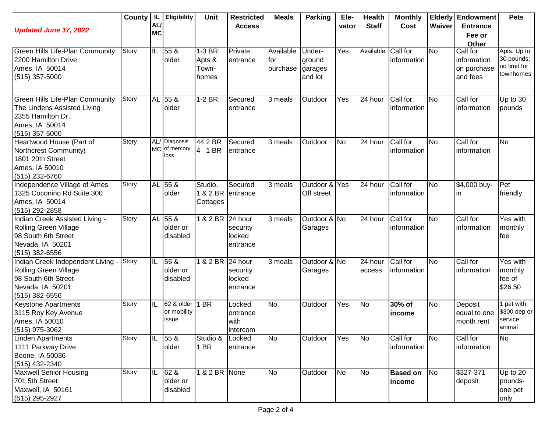| <b>Updated June 17, 2022</b>                                                                                                     | County | JL.<br>AL/<br><b>MC</b> | Eligibility                             | Unit                               | <b>Restricted</b><br><b>Access</b>        | <b>Meals</b>                 | <b>Parking</b>                         | Ele-<br>vator | <b>Health</b><br><b>Staff</b> | <b>Monthly</b><br>Cost    | Waiver    | <b>Elderly Endowment</b><br><b>Entrance</b><br>Fee or<br>Other | <b>Pets</b>                                            |
|----------------------------------------------------------------------------------------------------------------------------------|--------|-------------------------|-----------------------------------------|------------------------------------|-------------------------------------------|------------------------------|----------------------------------------|---------------|-------------------------------|---------------------------|-----------|----------------------------------------------------------------|--------------------------------------------------------|
| Green Hills Life-Plan Community<br>2200 Hamilton Drive<br>Ames, IA 50014<br>$(515)$ 357-5000                                     | Story  | IL                      | 55 &<br>older                           | 1-3 BR<br>Apts &<br>Town-<br>homes | Private<br>entrance                       | Available<br>for<br>purchase | Under-<br>ground<br>garages<br>and lot | Yes           | Available                     | Call for<br>information   | <b>No</b> | Call for<br>information<br>on purchase<br>and fees             | Apts: Up to<br>30 pounds;<br>no limit for<br>townhomes |
| <b>Green Hills Life-Plan Community</b><br>The Lindens Assisted Living<br>2355 Hamilton Dr.<br>Ames, IA 50014<br>$(515)$ 357-5000 | Story  |                         | AL 55 &<br>older                        | $1-2$ BR                           | Secured<br>entrance                       | 3 meals                      | Outdoor                                | Yes           | 24 hour                       | Call for<br>linformation  | No        | Call for<br>information                                        | Up to 30<br>pounds                                     |
| Heartwood House (Part of<br>Northcrest Community)<br>1801 20th Street<br>Ames, IA 50010<br>(515) 232-6760                        | Story  | <b>MC</b>               | AL/ Diagnosis<br>of memory<br>loss      | 44 2 BR<br>4 1 BR                  | Secured<br>entrance                       | 3 meals                      | Outdoor                                | <b>No</b>     | $\overline{24}$ hour          | Call for<br>information   | <b>No</b> | Call for<br>information                                        | <b>No</b>                                              |
| Independence Village of Ames<br>1325 Coconino Rd Suite 300<br>Ames, IA 50014<br>(515) 292-2858                                   | Story  |                         | AL 55 &<br>older                        | Studio,<br>Cottages                | Secured<br>1 & 2 BR entrance              | 3 meals                      | Outdoor & Yes<br>Off street            |               | 24 hour                       | Call for<br>information   | <b>No</b> | \$4,000 buy-<br>ın                                             | Pet<br>friendly                                        |
| Indian Creek Assisted Living -<br><b>Rolling Green Village</b><br>98 South 6th Street<br>Nevada, IA 50201<br>$(515)$ 382-6556    | Story  |                         | AL 55 &<br>older or<br>disabled         | 1 & 2 BR 24 hour                   | security<br>locked<br>entrance            | 3 meals                      | Outdoor & No<br>Garages                |               | 24 hour                       | Call for<br>information   | <b>No</b> | Call for<br>information                                        | Yes with<br>monthly<br>fee                             |
| Indian Creek Independent Living -<br><b>Rolling Green Village</b><br>98 South 6th Street<br>Nevada, IA 50201<br>$(515)$ 382-6556 | Story  | IIL                     | 55 <sub>8</sub><br>older or<br>disabled | 1 & 2 BR                           | 24 hour<br>security<br>locked<br>entrance | 3 meals                      | Outdoor & No<br>Garages                |               | 24 hour<br>access             | Call for<br>information   | <b>No</b> | Call for<br>information                                        | Yes with<br>monthly<br>fee of<br>\$26.50               |
| <b>Keystone Apartments</b><br>3115 Roy Key Avenue<br>Ames, IA 50010<br>(515) 975-3062                                            | Story  | IIL                     | 62 & older<br>or mobility<br>issue      | 1 BR                               | Locked<br>entrance<br>with<br>intercom    | <b>No</b>                    | Outdoor                                | Yes           | <b>No</b>                     | 30% of<br>income          | <b>No</b> | Deposit<br>equal to one<br>month rent                          | 1 pet with<br>\$300 dep or<br>service<br>animal        |
| <b>Linden Apartments</b><br>1111 Parkway Drive<br>Boone, IA 50036<br>(515) 432-2340                                              | Story  | IIL                     | 55 <sub>8</sub><br>older                | Studio &<br>1 BR                   | Locked<br>entrance                        | <b>No</b>                    | Outdoor                                | Yes           | No                            | Call for<br>information   | <b>No</b> | Call for<br>information                                        | <b>No</b>                                              |
| <b>Maxwell Senior Housing</b><br>701 5th Street<br>Maxwell, IA 50161<br>(515) 295-2927                                           | Story  | IIL                     | 62 &<br>older or<br>disabled            | 1 & 2 BR None                      |                                           | No                           | Outdoor                                | <b>No</b>     | No                            | <b>Based on</b><br>income | No        | \$327-371<br>deposit                                           | Up to $20$<br>pounds-<br>one pet<br>only               |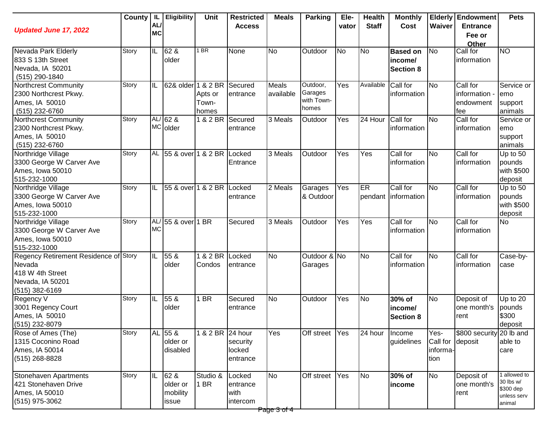| <b>Updated June 17, 2022</b>                                                                              | County | IL.<br><b>AL</b><br><b>MC</b> | <b>Eligibility</b>                    | <b>Unit</b>               | <b>Restricted</b><br><b>Access</b>     | <b>Meals</b>         | Parking                                    | Ele-<br>vator | <b>Health</b><br><b>Staff</b> | <b>Monthly</b><br>Cost                         | Waiver                               | <b>Elderly Endowment</b><br><b>Entrance</b><br>Fee or<br>Other | <b>Pets</b>                                                     |
|-----------------------------------------------------------------------------------------------------------|--------|-------------------------------|---------------------------------------|---------------------------|----------------------------------------|----------------------|--------------------------------------------|---------------|-------------------------------|------------------------------------------------|--------------------------------------|----------------------------------------------------------------|-----------------------------------------------------------------|
| Nevada Park Elderly<br>833 S 13th Street<br>Nevada, IA 50201<br>(515) 290-1840                            | Story  | IL                            | 62 &<br>older                         | <b>BR</b>                 | None                                   | <b>No</b>            | Outdoor                                    | <b>No</b>     | N <sub>o</sub>                | <b>Based on</b><br>income/<br><b>Section 8</b> | N <sub>o</sub>                       | Call for<br>information                                        | <b>NO</b>                                                       |
| Northcrest Community<br>2300 Northcrest Pkwy.<br>Ames, IA 50010<br>(515) 232-6760                         | Story  | IIL                           | 62& older 1 & 2 BR Secured            | Apts or<br>Town-<br>homes | entrance                               | Meals<br>available   | Outdoor,<br>Garages<br>with Town-<br>homes | Yes           | Available                     | Call for<br>information                        | <b>No</b>                            | Call for<br>information -<br>endowment<br>fee                  | Service or<br>emo<br>support<br>animals                         |
| Northcrest Community<br>2300 Northcrest Pkwy.<br>Ames, IA 50010<br>(515) 232-6760                         | Story  |                               | $AL/62$ &<br>MC older                 | 1 & 2 BR                  | <b>ISecured</b><br>entrance            | $\overline{3}$ Meals | Outdoor                                    | Yes           | 24 Hour                       | Call for<br>information                        | N <sub>o</sub>                       | Call for<br>information                                        | Service or<br>emo<br>support<br>animals                         |
| Northridge Village<br>3300 George W Carver Ave<br>Ames, Iowa 50010<br>515-232-1000                        | Story  |                               | AL 55 & over 1 & 2 BR                 |                           | Locked<br>Entrance                     | $\overline{3}$ Meals | Outdoor                                    | Yes           | Yes                           | Call for<br>information                        | <b>No</b>                            | Call for<br>information                                        | Up to 50<br>pounds<br>with \$500<br>deposit                     |
| Northridge Village<br>3300 George W Carver Ave<br>Ames, Iowa 50010<br>515-232-1000                        | Story  | IL                            | 55 & over 1 & 2 BR                    |                           | Locked<br>entrance                     | 2 Meals              | Garages<br>& Outdoor                       | Yes           | ER                            | Call for<br>pendant information                | <b>No</b>                            | Call for<br>information                                        | Up to 50<br>pounds<br>with \$500<br>deposit                     |
| Northridge Village<br>3300 George W Carver Ave<br>Ames, Iowa 50010<br>515-232-1000                        | Story  | AL/<br><b>MC</b>              | 55 & over                             | 1 BR                      | Secured                                | 3 Meals              | Outdoor                                    | Yes           | Yes                           | Call for<br>information                        | <b>No</b>                            | Call for<br>information                                        | <b>No</b>                                                       |
| Regency Retirement Residence of Story<br>Nevada<br>418 W 4th Street<br>Nevada, IA 50201<br>(515) 382-6169 |        | IL                            | 55 &<br>older                         | 1 & 2 BR Locked<br>Condos | entrance                               | <b>No</b>            | Outdoor & No<br>Garages                    |               | N <sub>o</sub>                | Call for<br>information                        | <b>No</b>                            | Call for<br>information                                        | Case-by-<br>case                                                |
| Regency V<br>3001 Regency Court<br>Ames, IA 50010<br>(515) 232-8079                                       | Story  | IIL                           | 55 <sub>8</sub><br>older              | $\overline{BR}$           | Secured<br>entrance                    | <b>No</b>            | Outdoor                                    | Yes           | <b>No</b>                     | 30% of<br>income/<br><b>Section 8</b>          | <b>No</b>                            | Deposit of<br>one month's<br>rent                              | Up to 20<br>pounds<br>\$300<br>deposit                          |
| Rose of Ames (The)<br>1315 Coconino Road<br>Ames, IA 50014<br>$(515)$ 268-8828                            | Story  |                               | AL 55 &<br>older or<br>disabled       | 1 & 2 BR 24 hour          | security<br>locked<br>entrance         | Yes                  | Off street Yes                             |               | 24 hour                       | Income<br>guidelines                           | Yes-<br>Call for<br>informa-<br>tion | \$800 security 20 lb and<br>deposit                            | able to<br>care                                                 |
| Stonehaven Apartments<br>421 Stonehaven Drive<br>Ames, IA 50010<br>(515) 975-3062                         | Story  | IL                            | 62 &<br>older or<br>mobility<br>issue | Studio &<br>1 BR          | Locked<br>entrance<br>with<br>intercom | <b>No</b>            | Off street                                 | Yes           | N <sub>o</sub>                | 30% of<br>income                               | <b>No</b>                            | Deposit of<br>one month's<br>rent                              | I allowed to<br>30 lbs w/<br>\$300 dep<br>unless serv<br>animal |